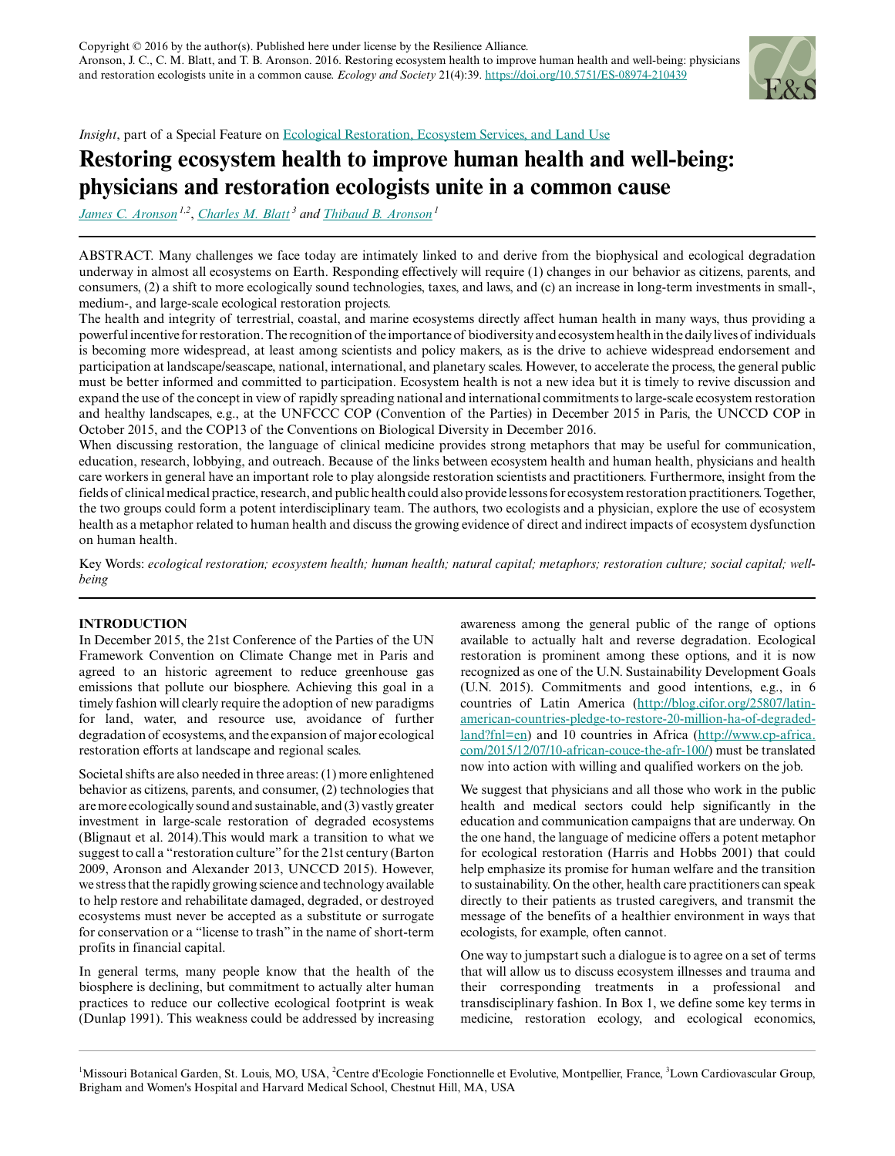

*Insight*, part of a Special Feature on [Ecological Restoration, Ecosystem Services, and Land Use](http://www.ecologyandsociety.org/viewissue.php?sf=109)

# **Restoring ecosystem health to improve human health and well-being: physicians and restoration ecologists unite in a common cause**

*[James C. Aronson](mailto:james.aronson@mobot.org) 1,2* , *[Charles M. Blatt](mailto:CBLATT@partners.org)<sup>3</sup> and [Thibaud B. Aronson](mailto:thibaud.aronson@gmail.com)<sup>1</sup>*

ABSTRACT. Many challenges we face today are intimately linked to and derive from the biophysical and ecological degradation underway in almost all ecosystems on Earth. Responding effectively will require (1) changes in our behavior as citizens, parents, and consumers, (2) a shift to more ecologically sound technologies, taxes, and laws, and (c) an increase in long-term investments in small-, medium-, and large-scale ecological restoration projects.

The health and integrity of terrestrial, coastal, and marine ecosystems directly affect human health in many ways, thus providing a powerful incentive for restoration. The recognition of the importance of biodiversity and ecosystem health in the daily lives of individuals is becoming more widespread, at least among scientists and policy makers, as is the drive to achieve widespread endorsement and participation at landscape/seascape, national, international, and planetary scales. However, to accelerate the process, the general public must be better informed and committed to participation. Ecosystem health is not a new idea but it is timely to revive discussion and expand the use of the concept in view of rapidly spreading national and international commitments to large-scale ecosystem restoration and healthy landscapes, e.g., at the UNFCCC COP (Convention of the Parties) in December 2015 in Paris, the UNCCD COP in October 2015, and the COP13 of the Conventions on Biological Diversity in December 2016.

When discussing restoration, the language of clinical medicine provides strong metaphors that may be useful for communication, education, research, lobbying, and outreach. Because of the links between ecosystem health and human health, physicians and health care workers in general have an important role to play alongside restoration scientists and practitioners. Furthermore, insight from the fields of clinical medical practice, research, and public health could also provide lessons for ecosystem restoration practitioners. Together, the two groups could form a potent interdisciplinary team. The authors, two ecologists and a physician, explore the use of ecosystem health as a metaphor related to human health and discuss the growing evidence of direct and indirect impacts of ecosystem dysfunction on human health.

Key Words: *ecological restoration; ecosystem health; human health; natural capital; metaphors; restoration culture; social capital; wellbeing*

## **INTRODUCTION**

In December 2015, the 21st Conference of the Parties of the UN Framework Convention on Climate Change met in Paris and agreed to an historic agreement to reduce greenhouse gas emissions that pollute our biosphere. Achieving this goal in a timely fashion will clearly require the adoption of new paradigms for land, water, and resource use, avoidance of further degradation of ecosystems, and the expansion of major ecological restoration efforts at landscape and regional scales.

Societal shifts are also needed in three areas: (1) more enlightened behavior as citizens, parents, and consumer, (2) technologies that are more ecologically sound and sustainable, and (3) vastly greater investment in large-scale restoration of degraded ecosystems (Blignaut et al. 2014).This would mark a transition to what we suggest to call a "restoration culture" for the 21st century (Barton 2009, Aronson and Alexander 2013, UNCCD 2015). However, we stress that the rapidly growing science and technology available to help restore and rehabilitate damaged, degraded, or destroyed ecosystems must never be accepted as a substitute or surrogate for conservation or a "license to trash" in the name of short-term profits in financial capital.

In general terms, many people know that the health of the biosphere is declining, but commitment to actually alter human practices to reduce our collective ecological footprint is weak (Dunlap 1991). This weakness could be addressed by increasing awareness among the general public of the range of options available to actually halt and reverse degradation. Ecological restoration is prominent among these options, and it is now recognized as one of the U.N. Sustainability Development Goals (U.N. 2015). Commitments and good intentions, e.g., in 6 countries of Latin America ([http://blog.cifor.org/25807/latin](http://blog.cifor.org/25807/latin-american-countries-pledge-to-restore-20-million-ha-of-degraded-land?fnl=en)[american-countries-pledge-to-restore-20-million-ha-of-degraded](http://blog.cifor.org/25807/latin-american-countries-pledge-to-restore-20-million-ha-of-degraded-land?fnl=en)[land?fnl=en\)](http://blog.cifor.org/25807/latin-american-countries-pledge-to-restore-20-million-ha-of-degraded-land?fnl=en) and 10 countries in Africa [\(http://www.cp-africa.](http://www.cp-africa.com/2015/12/07/10-african-couce-the-afr-100/) [com/2015/12/07/10-african-couce-the-afr-100/\)](http://www.cp-africa.com/2015/12/07/10-african-couce-the-afr-100/) must be translated now into action with willing and qualified workers on the job.

We suggest that physicians and all those who work in the public health and medical sectors could help significantly in the education and communication campaigns that are underway. On the one hand, the language of medicine offers a potent metaphor for ecological restoration (Harris and Hobbs 2001) that could help emphasize its promise for human welfare and the transition to sustainability. On the other, health care practitioners can speak directly to their patients as trusted caregivers, and transmit the message of the benefits of a healthier environment in ways that ecologists, for example, often cannot.

One way to jumpstart such a dialogue is to agree on a set of terms that will allow us to discuss ecosystem illnesses and trauma and their corresponding treatments in a professional and transdisciplinary fashion. In Box 1, we define some key terms in medicine, restoration ecology, and ecological economics,

<sup>1</sup>Missouri Botanical Garden, St. Louis, MO, USA, <sup>2</sup>Centre d'Ecologie Fonctionnelle et Evolutive, Montpellier, France, <sup>3</sup>Lown Cardiovascular Group, Brigham and Women's Hospital and Harvard Medical School, Chestnut Hill, MA, USA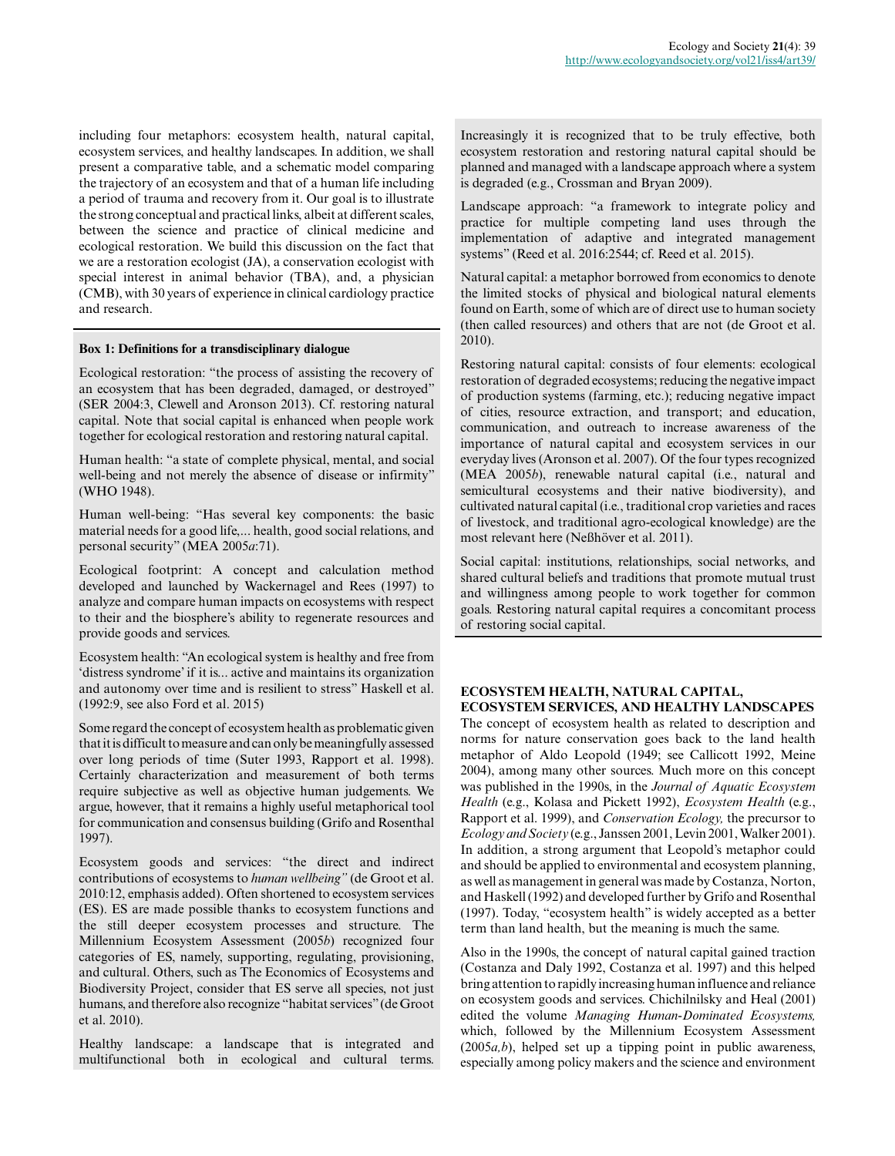including four metaphors: ecosystem health, natural capital, ecosystem services, and healthy landscapes. In addition, we shall present a comparative table, and a schematic model comparing the trajectory of an ecosystem and that of a human life including a period of trauma and recovery from it. Our goal is to illustrate the strong conceptual and practical links, albeit at different scales, between the science and practice of clinical medicine and ecological restoration. We build this discussion on the fact that we are a restoration ecologist (JA), a conservation ecologist with special interest in animal behavior (TBA), and, a physician (CMB), with 30 years of experience in clinical cardiology practice and research.

#### **Box 1: Definitions for a transdisciplinary dialogue**

Ecological restoration: "the process of assisting the recovery of an ecosystem that has been degraded, damaged, or destroyed" (SER 2004:3, Clewell and Aronson 2013). Cf. restoring natural capital. Note that social capital is enhanced when people work together for ecological restoration and restoring natural capital.

Human health: "a state of complete physical, mental, and social well-being and not merely the absence of disease or infirmity" (WHO 1948).

Human well-being: "Has several key components: the basic material needs for a good life,... health, good social relations, and personal security" (MEA 2005*a*:71).

Ecological footprint: A concept and calculation method developed and launched by Wackernagel and Rees (1997) to analyze and compare human impacts on ecosystems with respect to their and the biosphere's ability to regenerate resources and provide goods and services.

Ecosystem health: "An ecological system is healthy and free from 'distress syndrome' if it is... active and maintains its organization and autonomy over time and is resilient to stress" Haskell et al. (1992:9, see also Ford et al. 2015)

Some regard the concept of ecosystem health as problematic given that it is difficult to measure and can only be meaningfully assessed over long periods of time (Suter 1993, Rapport et al. 1998). Certainly characterization and measurement of both terms require subjective as well as objective human judgements. We argue, however, that it remains a highly useful metaphorical tool for communication and consensus building (Grifo and Rosenthal 1997).

Ecosystem goods and services: "the direct and indirect contributions of ecosystems to *human wellbeing"* (de Groot et al. 2010:12, emphasis added). Often shortened to ecosystem services (ES). ES are made possible thanks to ecosystem functions and the still deeper ecosystem processes and structure. The Millennium Ecosystem Assessment (2005*b*) recognized four categories of ES, namely, supporting, regulating, provisioning, and cultural. Others, such as The Economics of Ecosystems and Biodiversity Project, consider that ES serve all species, not just humans, and therefore also recognize "habitat services" (de Groot et al. 2010).

Healthy landscape: a landscape that is integrated and multifunctional both in ecological and cultural terms.

Increasingly it is recognized that to be truly effective, both ecosystem restoration and restoring natural capital should be planned and managed with a landscape approach where a system is degraded (e.g., Crossman and Bryan 2009).

Landscape approach: "a framework to integrate policy and practice for multiple competing land uses through the implementation of adaptive and integrated management systems" (Reed et al. 2016:2544; cf. Reed et al. 2015).

Natural capital: a metaphor borrowed from economics to denote the limited stocks of physical and biological natural elements found on Earth, some of which are of direct use to human society (then called resources) and others that are not (de Groot et al. 2010).

Restoring natural capital: consists of four elements: ecological restoration of degraded ecosystems; reducing the negative impact of production systems (farming, etc.); reducing negative impact of cities, resource extraction, and transport; and education, communication, and outreach to increase awareness of the importance of natural capital and ecosystem services in our everyday lives (Aronson et al. 2007). Of the four types recognized (MEA 2005*b*), renewable natural capital (i.e., natural and semicultural ecosystems and their native biodiversity), and cultivated natural capital (i.e., traditional crop varieties and races of livestock, and traditional agro-ecological knowledge) are the most relevant here (Neßhöver et al. 2011).

Social capital: institutions, relationships, social networks, and shared cultural beliefs and traditions that promote mutual trust and willingness among people to work together for common goals. Restoring natural capital requires a concomitant process of restoring social capital.

## **ECOSYSTEM HEALTH, NATURAL CAPITAL, ECOSYSTEM SERVICES, AND HEALTHY LANDSCAPES**

The concept of ecosystem health as related to description and norms for nature conservation goes back to the land health metaphor of Aldo Leopold (1949; see Callicott 1992, Meine 2004), among many other sources. Much more on this concept was published in the 1990s, in the *Journal of Aquatic Ecosystem Health* (e.g., Kolasa and Pickett 1992), *Ecosystem Health* (e.g., Rapport et al. 1999), and *Conservation Ecology,* the precursor to *Ecology and Society* (e.g., Janssen 2001, Levin 2001, Walker 2001). In addition, a strong argument that Leopold's metaphor could and should be applied to environmental and ecosystem planning, as well as management in general was made by Costanza, Norton, and Haskell (1992) and developed further by Grifo and Rosenthal (1997). Today, "ecosystem health" is widely accepted as a better term than land health, but the meaning is much the same.

Also in the 1990s, the concept of natural capital gained traction (Costanza and Daly 1992, Costanza et al. 1997) and this helped bring attention to rapidly increasing human influence and reliance on ecosystem goods and services. Chichilnilsky and Heal (2001) edited the volume *Managing Human-Dominated Ecosystems,* which, followed by the Millennium Ecosystem Assessment (2005*a,b*), helped set up a tipping point in public awareness, especially among policy makers and the science and environment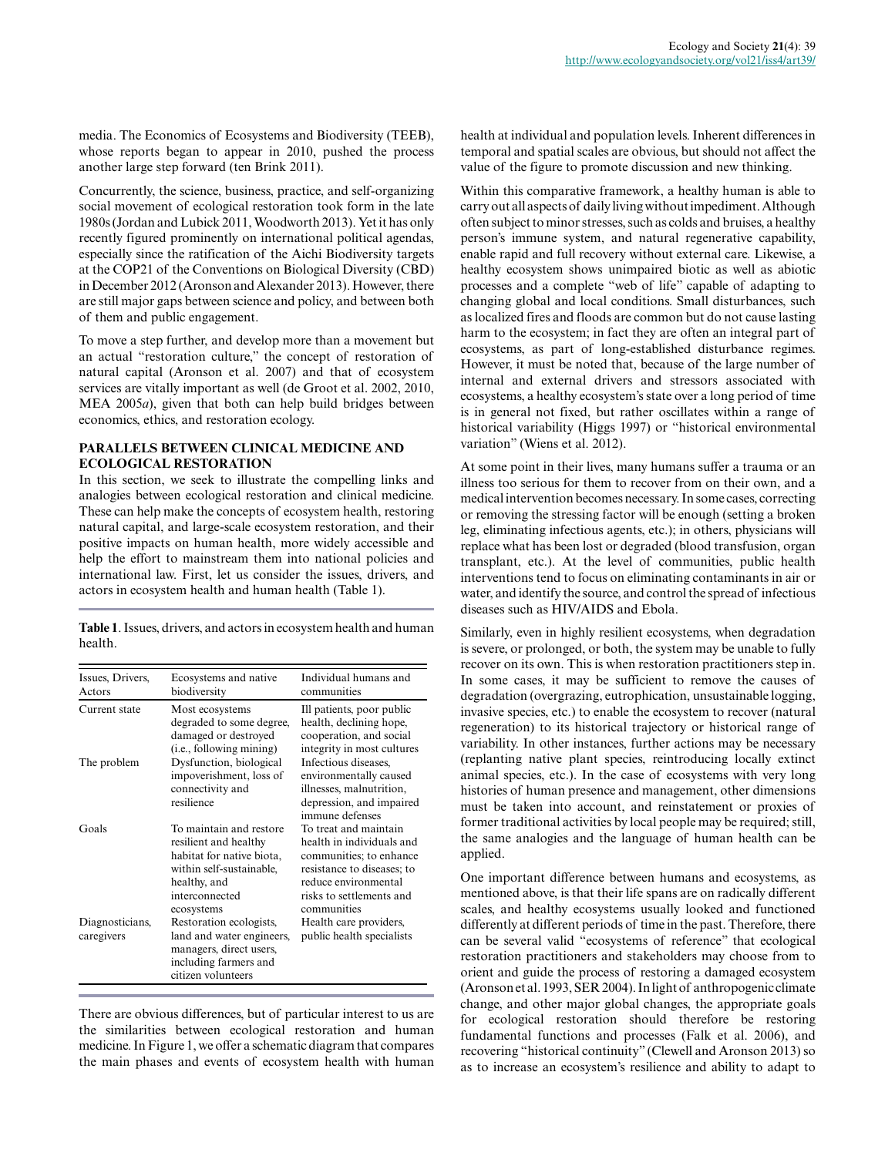media. The Economics of Ecosystems and Biodiversity (TEEB), whose reports began to appear in 2010, pushed the process another large step forward (ten Brink 2011).

Concurrently, the science, business, practice, and self-organizing social movement of ecological restoration took form in the late 1980s (Jordan and Lubick 2011, Woodworth 2013). Yet it has only recently figured prominently on international political agendas, especially since the ratification of the Aichi Biodiversity targets at the COP21 of the Conventions on Biological Diversity (CBD) in December 2012 (Aronson and Alexander 2013). However, there are still major gaps between science and policy, and between both of them and public engagement.

To move a step further, and develop more than a movement but an actual "restoration culture," the concept of restoration of natural capital (Aronson et al. 2007) and that of ecosystem services are vitally important as well (de Groot et al. 2002, 2010, MEA 2005*a*), given that both can help build bridges between economics, ethics, and restoration ecology.

## **PARALLELS BETWEEN CLINICAL MEDICINE AND ECOLOGICAL RESTORATION**

In this section, we seek to illustrate the compelling links and analogies between ecological restoration and clinical medicine. These can help make the concepts of ecosystem health, restoring natural capital, and large-scale ecosystem restoration, and their positive impacts on human health, more widely accessible and help the effort to mainstream them into national policies and international law. First, let us consider the issues, drivers, and actors in ecosystem health and human health (Table 1).

**Table 1**. Issues, drivers, and actors in ecosystem health and human health.

| Issues, Drivers,<br>Actors    | Ecosystems and native<br>biodiversity                                                                                                                     | Individual humans and<br>communities                                                                                                                                           |
|-------------------------------|-----------------------------------------------------------------------------------------------------------------------------------------------------------|--------------------------------------------------------------------------------------------------------------------------------------------------------------------------------|
| Current state                 | Most ecosystems<br>degraded to some degree,<br>damaged or destroyed<br>( <i>i.e.</i> , following mining)                                                  | Ill patients, poor public<br>health, declining hope,<br>cooperation, and social<br>integrity in most cultures                                                                  |
| The problem                   | Dysfunction, biological<br>impoverishment, loss of<br>connectivity and<br>resilience                                                                      | Infectious diseases,<br>environmentally caused<br>illnesses, malnutrition,<br>depression, and impaired<br>immune defenses                                                      |
| Goals                         | To maintain and restore<br>resilient and healthy<br>habitat for native biota,<br>within self-sustainable.<br>healthy, and<br>interconnected<br>ecosystems | To treat and maintain<br>health in individuals and<br>communities; to enhance<br>resistance to diseases; to<br>reduce environmental<br>risks to settlements and<br>communities |
| Diagnosticians,<br>caregivers | Restoration ecologists,<br>land and water engineers,<br>managers, direct users,<br>including farmers and<br>citizen volunteers                            | Health care providers,<br>public health specialists                                                                                                                            |

There are obvious differences, but of particular interest to us are the similarities between ecological restoration and human medicine. In Figure 1, we offer a schematic diagram that compares the main phases and events of ecosystem health with human health at individual and population levels. Inherent differences in temporal and spatial scales are obvious, but should not affect the value of the figure to promote discussion and new thinking.

Within this comparative framework, a healthy human is able to carry out all aspects of daily living without impediment. Although often subject to minor stresses, such as colds and bruises, a healthy person's immune system, and natural regenerative capability, enable rapid and full recovery without external care. Likewise, a healthy ecosystem shows unimpaired biotic as well as abiotic processes and a complete "web of life" capable of adapting to changing global and local conditions. Small disturbances, such as localized fires and floods are common but do not cause lasting harm to the ecosystem; in fact they are often an integral part of ecosystems, as part of long-established disturbance regimes. However, it must be noted that, because of the large number of internal and external drivers and stressors associated with ecosystems, a healthy ecosystem's state over a long period of time is in general not fixed, but rather oscillates within a range of historical variability (Higgs 1997) or "historical environmental variation" (Wiens et al. 2012).

At some point in their lives, many humans suffer a trauma or an illness too serious for them to recover from on their own, and a medical intervention becomes necessary. In some cases, correcting or removing the stressing factor will be enough (setting a broken leg, eliminating infectious agents, etc.); in others, physicians will replace what has been lost or degraded (blood transfusion, organ transplant, etc.). At the level of communities, public health interventions tend to focus on eliminating contaminants in air or water, and identify the source, and control the spread of infectious diseases such as HIV/AIDS and Ebola.

Similarly, even in highly resilient ecosystems, when degradation is severe, or prolonged, or both, the system may be unable to fully recover on its own. This is when restoration practitioners step in. In some cases, it may be sufficient to remove the causes of degradation (overgrazing, eutrophication, unsustainable logging, invasive species, etc.) to enable the ecosystem to recover (natural regeneration) to its historical trajectory or historical range of variability. In other instances, further actions may be necessary (replanting native plant species, reintroducing locally extinct animal species, etc.). In the case of ecosystems with very long histories of human presence and management, other dimensions must be taken into account, and reinstatement or proxies of former traditional activities by local people may be required; still, the same analogies and the language of human health can be applied.

One important difference between humans and ecosystems, as mentioned above, is that their life spans are on radically different scales, and healthy ecosystems usually looked and functioned differently at different periods of time in the past. Therefore, there can be several valid "ecosystems of reference" that ecological restoration practitioners and stakeholders may choose from to orient and guide the process of restoring a damaged ecosystem (Aronson et al. 1993, SER 2004). In light of anthropogenic climate change, and other major global changes, the appropriate goals for ecological restoration should therefore be restoring fundamental functions and processes (Falk et al. 2006), and recovering "historical continuity" (Clewell and Aronson 2013) so as to increase an ecosystem's resilience and ability to adapt to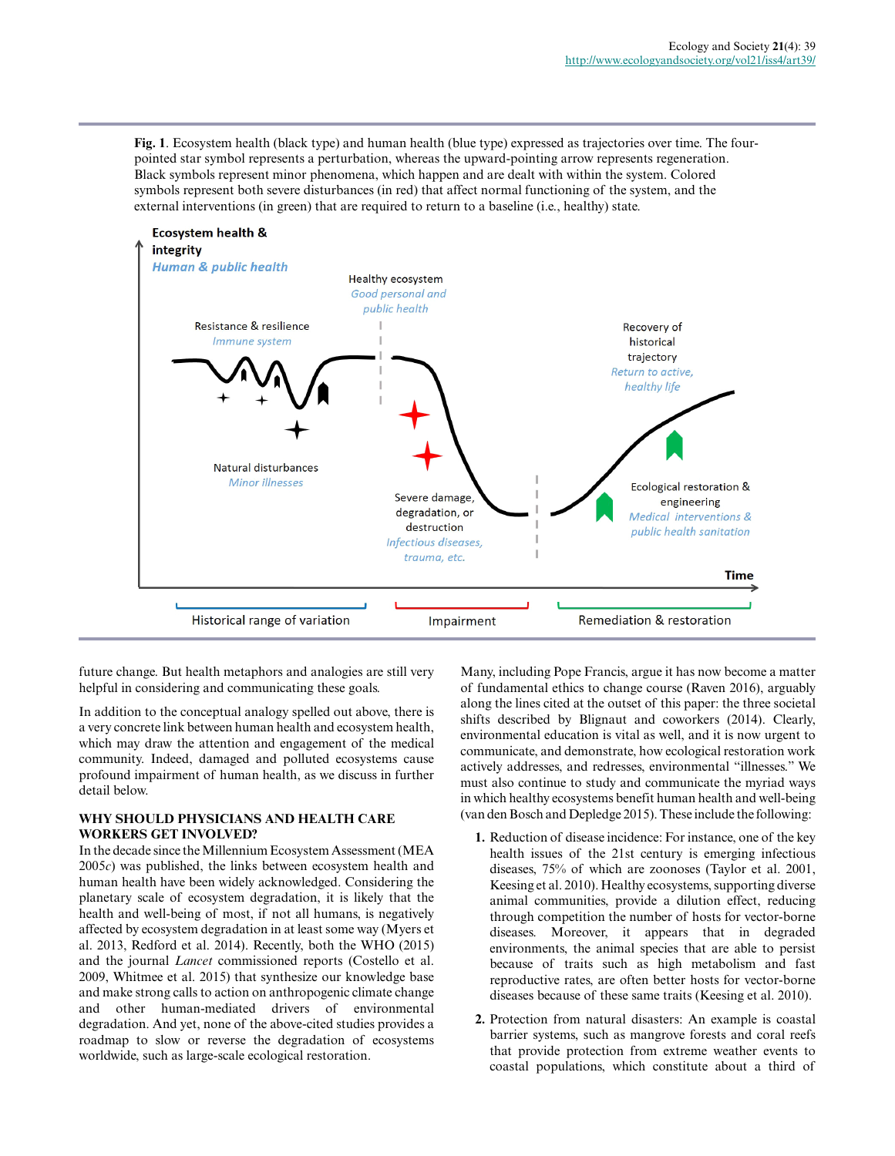**Fig. 1**. Ecosystem health (black type) and human health (blue type) expressed as trajectories over time. The fourpointed star symbol represents a perturbation, whereas the upward-pointing arrow represents regeneration. Black symbols represent minor phenomena, which happen and are dealt with within the system. Colored symbols represent both severe disturbances (in red) that affect normal functioning of the system, and the external interventions (in green) that are required to return to a baseline (i.e., healthy) state.



future change. But health metaphors and analogies are still very helpful in considering and communicating these goals.

In addition to the conceptual analogy spelled out above, there is a very concrete link between human health and ecosystem health, which may draw the attention and engagement of the medical community. Indeed, damaged and polluted ecosystems cause profound impairment of human health, as we discuss in further detail below.

## **WHY SHOULD PHYSICIANS AND HEALTH CARE WORKERS GET INVOLVED?**

In the decade since the Millennium Ecosystem Assessment (MEA 2005*c*) was published, the links between ecosystem health and human health have been widely acknowledged. Considering the planetary scale of ecosystem degradation, it is likely that the health and well-being of most, if not all humans, is negatively affected by ecosystem degradation in at least some way (Myers et al. 2013, Redford et al. 2014). Recently, both the WHO (2015) and the journal *Lancet* commissioned reports (Costello et al. 2009, Whitmee et al. 2015) that synthesize our knowledge base and make strong calls to action on anthropogenic climate change and other human-mediated drivers of environmental degradation. And yet, none of the above-cited studies provides a roadmap to slow or reverse the degradation of ecosystems worldwide, such as large-scale ecological restoration.

Many, including Pope Francis, argue it has now become a matter of fundamental ethics to change course (Raven 2016), arguably along the lines cited at the outset of this paper: the three societal shifts described by Blignaut and coworkers (2014). Clearly, environmental education is vital as well, and it is now urgent to communicate, and demonstrate, how ecological restoration work actively addresses, and redresses, environmental "illnesses." We must also continue to study and communicate the myriad ways in which healthy ecosystems benefit human health and well-being (van den Bosch and Depledge 2015). These include the following:

- **1.** Reduction of disease incidence: For instance, one of the key health issues of the 21st century is emerging infectious diseases, 75% of which are zoonoses (Taylor et al. 2001, Keesing et al. 2010). Healthy ecosystems, supporting diverse animal communities, provide a dilution effect, reducing through competition the number of hosts for vector-borne diseases. Moreover, it appears that in degraded environments, the animal species that are able to persist because of traits such as high metabolism and fast reproductive rates, are often better hosts for vector-borne diseases because of these same traits (Keesing et al. 2010).
- **2.** Protection from natural disasters: An example is coastal barrier systems, such as mangrove forests and coral reefs that provide protection from extreme weather events to coastal populations, which constitute about a third of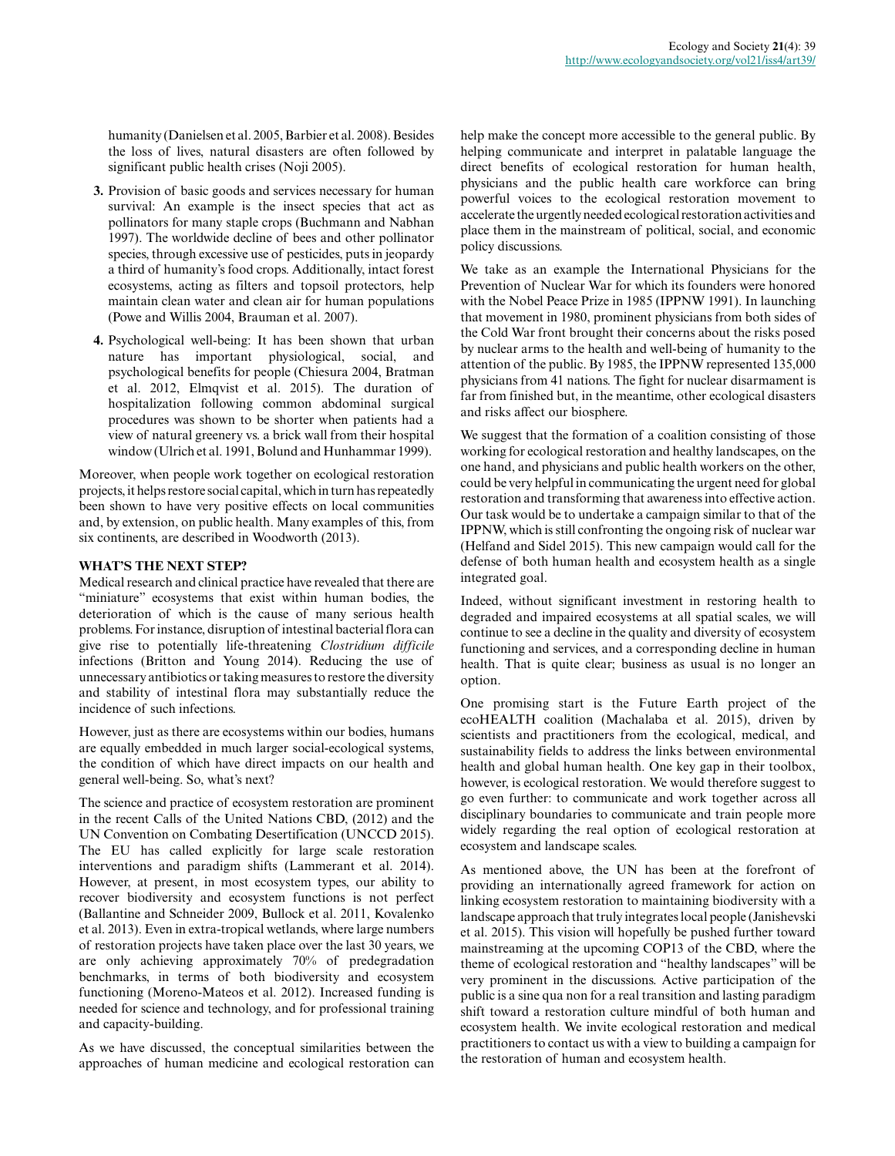humanity (Danielsen et al. 2005, Barbier et al. 2008). Besides the loss of lives, natural disasters are often followed by significant public health crises (Noji 2005).

- **3.** Provision of basic goods and services necessary for human survival: An example is the insect species that act as pollinators for many staple crops (Buchmann and Nabhan 1997). The worldwide decline of bees and other pollinator species, through excessive use of pesticides, puts in jeopardy a third of humanity's food crops. Additionally, intact forest ecosystems, acting as filters and topsoil protectors, help maintain clean water and clean air for human populations (Powe and Willis 2004, Brauman et al. 2007).
- **4.** Psychological well-being: It has been shown that urban nature has important physiological, social, and psychological benefits for people (Chiesura 2004, Bratman et al. 2012, Elmqvist et al. 2015). The duration of hospitalization following common abdominal surgical procedures was shown to be shorter when patients had a view of natural greenery vs. a brick wall from their hospital window (Ulrich et al. 1991, Bolund and Hunhammar 1999).

Moreover, when people work together on ecological restoration projects, it helps restore social capital, which in turn has repeatedly been shown to have very positive effects on local communities and, by extension, on public health. Many examples of this, from six continents, are described in Woodworth (2013).

#### **WHAT'S THE NEXT STEP?**

Medical research and clinical practice have revealed that there are "miniature" ecosystems that exist within human bodies, the deterioration of which is the cause of many serious health problems. For instance, disruption of intestinal bacterial flora can give rise to potentially life-threatening *Clostridium difficile* infections (Britton and Young 2014). Reducing the use of unnecessary antibiotics or taking measures to restore the diversity and stability of intestinal flora may substantially reduce the incidence of such infections.

However, just as there are ecosystems within our bodies, humans are equally embedded in much larger social-ecological systems, the condition of which have direct impacts on our health and general well-being. So, what's next?

The science and practice of ecosystem restoration are prominent in the recent Calls of the United Nations CBD, (2012) and the UN Convention on Combating Desertification (UNCCD 2015). The EU has called explicitly for large scale restoration interventions and paradigm shifts (Lammerant et al. 2014). However, at present, in most ecosystem types, our ability to recover biodiversity and ecosystem functions is not perfect (Ballantine and Schneider 2009, Bullock et al. 2011, Kovalenko et al. 2013). Even in extra-tropical wetlands, where large numbers of restoration projects have taken place over the last 30 years, we are only achieving approximately 70% of predegradation benchmarks, in terms of both biodiversity and ecosystem functioning (Moreno-Mateos et al. 2012). Increased funding is needed for science and technology, and for professional training and capacity-building.

As we have discussed, the conceptual similarities between the approaches of human medicine and ecological restoration can help make the concept more accessible to the general public. By helping communicate and interpret in palatable language the direct benefits of ecological restoration for human health, physicians and the public health care workforce can bring powerful voices to the ecological restoration movement to accelerate the urgently needed ecological restoration activities and place them in the mainstream of political, social, and economic policy discussions.

We take as an example the International Physicians for the Prevention of Nuclear War for which its founders were honored with the Nobel Peace Prize in 1985 (IPPNW 1991). In launching that movement in 1980, prominent physicians from both sides of the Cold War front brought their concerns about the risks posed by nuclear arms to the health and well-being of humanity to the attention of the public. By 1985, the IPPNW represented 135,000 physicians from 41 nations. The fight for nuclear disarmament is far from finished but, in the meantime, other ecological disasters and risks affect our biosphere.

We suggest that the formation of a coalition consisting of those working for ecological restoration and healthy landscapes, on the one hand, and physicians and public health workers on the other, could be very helpful in communicating the urgent need for global restoration and transforming that awareness into effective action. Our task would be to undertake a campaign similar to that of the IPPNW, which is still confronting the ongoing risk of nuclear war (Helfand and Sidel 2015). This new campaign would call for the defense of both human health and ecosystem health as a single integrated goal.

Indeed, without significant investment in restoring health to degraded and impaired ecosystems at all spatial scales, we will continue to see a decline in the quality and diversity of ecosystem functioning and services, and a corresponding decline in human health. That is quite clear; business as usual is no longer an option.

One promising start is the Future Earth project of the ecoHEALTH coalition (Machalaba et al. 2015), driven by scientists and practitioners from the ecological, medical, and sustainability fields to address the links between environmental health and global human health. One key gap in their toolbox, however, is ecological restoration. We would therefore suggest to go even further: to communicate and work together across all disciplinary boundaries to communicate and train people more widely regarding the real option of ecological restoration at ecosystem and landscape scales.

As mentioned above, the UN has been at the forefront of providing an internationally agreed framework for action on linking ecosystem restoration to maintaining biodiversity with a landscape approach that truly integrates local people (Janishevski et al. 2015). This vision will hopefully be pushed further toward mainstreaming at the upcoming COP13 of the CBD, where the theme of ecological restoration and "healthy landscapes" will be very prominent in the discussions. Active participation of the public is a sine qua non for a real transition and lasting paradigm shift toward a restoration culture mindful of both human and ecosystem health. We invite ecological restoration and medical practitioners to contact us with a view to building a campaign for the restoration of human and ecosystem health.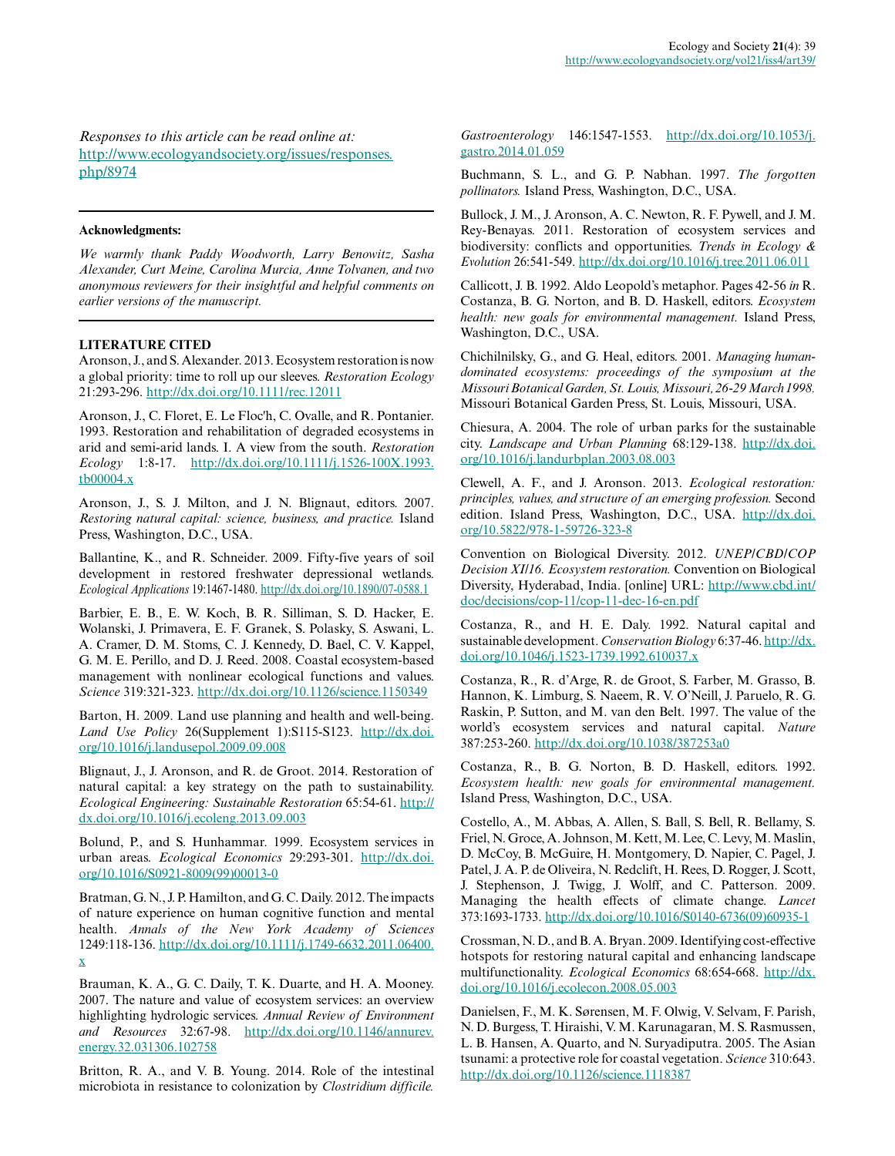*Responses to this article can be read online at:* [http://www.ecologyandsociety.org/issues/responses.](http://www.ecologyandsociety.org/issues/responses.php/8974) [php/8974](http://www.ecologyandsociety.org/issues/responses.php/8974)

#### **Acknowledgments:**

*We warmly thank Paddy Woodworth, Larry Benowitz, Sasha Alexander, Curt Meine, Carolina Murcia, Anne Tolvanen, and two anonymous reviewers for their insightful and helpful comments on earlier versions of the manuscript.*

#### **LITERATURE CITED**

Aronson, J., and S. Alexander. 2013. Ecosystem restoration is now a global priority: time to roll up our sleeves. *Restoration Ecology* 21:293-296. [http://dx.doi.org/10.1111/rec.12011](http://dx.doi.org/10.1111%2Frec.12011) 

Aronson, J., C. Floret, E. Le Floc'h, C. Ovalle, and R. Pontanier. 1993. Restoration and rehabilitation of degraded ecosystems in arid and semi-arid lands. I. A view from the south. *Restoration Ecology* 1:8-17. [http://dx.doi.org/10.1111/j.1526-100X.1993.](http://dx.doi.org/10.1111%2Fj.1526-100X.1993.tb00004.x) [tb00004.x](http://dx.doi.org/10.1111%2Fj.1526-100X.1993.tb00004.x)

Aronson, J., S. J. Milton, and J. N. Blignaut, editors. 2007. *Restoring natural capital: science, business, and practice.* Island Press, Washington, D.C., USA.

Ballantine, K., and R. Schneider. 2009. Fifty-five years of soil development in restored freshwater depressional wetlands. *Ecological Applications* 19:1467-1480. [http://dx.doi.org/10.1890/07-0588.1](http://dx.doi.org/10.1890%2F07-0588.1)

Barbier, E. B., E. W. Koch, B. R. Silliman, S. D. Hacker, E. Wolanski, J. Primavera, E. F. Granek, S. Polasky, S. Aswani, L. A. Cramer, D. M. Stoms, C. J. Kennedy, D. Bael, C. V. Kappel, G. M. E. Perillo, and D. J. Reed. 2008. Coastal ecosystem-based management with nonlinear ecological functions and values. *Science* 319:321-323. [http://dx.doi.org/10.1126/science.1150349](http://dx.doi.org/10.1126%2Fscience.1150349)

Barton, H. 2009. Land use planning and health and well-being. *Land Use Policy* 26(Supplement 1):S115-S123. [http://dx.doi.](http://dx.doi.org/10.1016%2Fj.landusepol.2009.09.008) [org/10.1016/j.landusepol.2009.09.008](http://dx.doi.org/10.1016%2Fj.landusepol.2009.09.008) 

Blignaut, J., J. Aronson, and R. de Groot. 2014. Restoration of natural capital: a key strategy on the path to sustainability. *Ecological Engineering: Sustainable Restoration* 65:54-61. [http://](http://dx.doi.org/10.1016%2Fj.ecoleng.2013.09.003) [dx.doi.org/10.1016/j.ecoleng.2013.09.003](http://dx.doi.org/10.1016%2Fj.ecoleng.2013.09.003)

Bolund, P., and S. Hunhammar. 1999. Ecosystem services in urban areas. *Ecological Economics* 29:293-301. [http://dx.doi.](http://dx.doi.org/10.1016%2FS0921-8009%2899%2900013-0) [org/10.1016/S0921-8009\(99\)00013-0](http://dx.doi.org/10.1016%2FS0921-8009%2899%2900013-0)

Bratman, G. N., J. P. Hamilton, and G. C. Daily. 2012. The impacts of nature experience on human cognitive function and mental health. *Annals of the New York Academy of Sciences* 1249:118-136. [http://dx.doi.org/10.1111/j.1749-6632.2011.06400.](http://dx.doi.org/10.1111%2Fj.1749-6632.2011.06400.x) [x](http://dx.doi.org/10.1111%2Fj.1749-6632.2011.06400.x)

Brauman, K. A., G. C. Daily, T. K. Duarte, and H. A. Mooney. 2007. The nature and value of ecosystem services: an overview highlighting hydrologic services. *Annual Review of Environment and Resources* 32:67-98. [http://dx.doi.org/10.1146/annurev.](http://dx.doi.org/10.1146%2Fannurev.energy.32.031306.102758) [energy.32.031306.102758](http://dx.doi.org/10.1146%2Fannurev.energy.32.031306.102758)

Britton, R. A., and V. B. Young. 2014. Role of the intestinal microbiota in resistance to colonization by *Clostridium difficile.*

*Gastroenterology* 146:1547-1553. [http://dx.doi.org/10.1053/j.](http://dx.doi.org/10.1053%2Fj.gastro.2014.01.059) [gastro.2014.01.059](http://dx.doi.org/10.1053%2Fj.gastro.2014.01.059) 

Buchmann, S. L., and G. P. Nabhan. 1997. *The forgotten pollinators.* Island Press, Washington, D.C., USA.

Bullock, J. M., J. Aronson, A. C. Newton, R. F. Pywell, and J. M. Rey-Benayas. 2011. Restoration of ecosystem services and biodiversity: conflicts and opportunities. *Trends in Ecology & Evolution* 26:541-549. [http://dx.doi.org/10.1016/j.tree.2011.06.011](http://dx.doi.org/10.1016%2Fj.tree.2011.06.011) 

Callicott, J. B. 1992. Aldo Leopold's metaphor. Pages 42-56 *in* R. Costanza, B. G. Norton, and B. D. Haskell, editors. *Ecosystem health: new goals for environmental management.* Island Press, Washington, D.C., USA.

Chichilnilsky, G., and G. Heal, editors. 2001. *Managing humandominated ecosystems: proceedings of the symposium at the Missouri Botanical Garden, St. Louis, Missouri, 26-29 March 1998.* Missouri Botanical Garden Press, St. Louis, Missouri, USA.

Chiesura, A. 2004. The role of urban parks for the sustainable city. *Landscape and Urban Planning* 68:129-138. [http://dx.doi.](http://dx.doi.org/10.1016%2Fj.landurbplan.2003.08.003) [org/10.1016/j.landurbplan.2003.08.003](http://dx.doi.org/10.1016%2Fj.landurbplan.2003.08.003)

Clewell, A. F., and J. Aronson. 2013. *Ecological restoration: principles, values, and structure of an emerging profession.* Second edition. Island Press, Washington, D.C., USA. [http://dx.doi.](http://dx.doi.org/10.5822%2F978-1-59726-323-8) [org/10.5822/978-1-59726-323-8](http://dx.doi.org/10.5822%2F978-1-59726-323-8) 

Convention on Biological Diversity. 2012. *UNEP/CBD/COP Decision XI/16. Ecosystem restoration.* Convention on Biological Diversity, Hyderabad, India. [online] URL: [http://www.cbd.int/](http://www.cbd.int/doc/decisions/cop-11/cop-11-dec-16-en.pdf) [doc/decisions/cop-11/cop-11-dec-16-en.pdf](http://www.cbd.int/doc/decisions/cop-11/cop-11-dec-16-en.pdf)

Costanza, R., and H. E. Daly. 1992. Natural capital and sustainable development. *Conservation Biology* 6:37-46. [http://dx.](http://dx.doi.org/10.1046%2Fj.1523-1739.1992.610037.x) [doi.org/10.1046/j.1523-1739.1992.610037.x](http://dx.doi.org/10.1046%2Fj.1523-1739.1992.610037.x) 

Costanza, R., R. d'Arge, R. de Groot, S. Farber, M. Grasso, B. Hannon, K. Limburg, S. Naeem, R. V. O'Neill, J. Paruelo, R. G. Raskin, P. Sutton, and M. van den Belt. 1997. The value of the world's ecosystem services and natural capital. *Nature* 387:253-260. [http://dx.doi.org/10.1038/387253a0](http://dx.doi.org/10.1038%2F387253a0) 

Costanza, R., B. G. Norton, B. D. Haskell, editors. 1992. *Ecosystem health: new goals for environmental management.* Island Press, Washington, D.C., USA.

Costello, A., M. Abbas, A. Allen, S. Ball, S. Bell, R. Bellamy, S. Friel, N. Groce, A. Johnson, M. Kett, M. Lee, C. Levy, M. Maslin, D. McCoy, B. McGuire, H. Montgomery, D. Napier, C. Pagel, J. Patel, J. A. P. de Oliveira, N. Redclift, H. Rees, D. Rogger, J. Scott, J. Stephenson, J. Twigg, J. Wolff, and C. Patterson. 2009. Managing the health effects of climate change. *Lancet* 373:1693-1733. [http://dx.doi.org/10.1016/S0140-6736\(09\)60935-1](http://dx.doi.org/10.1016%2FS0140-6736%2809%2960935-1) 

Crossman, N. D., and B. A. Bryan. 2009. Identifying cost-effective hotspots for restoring natural capital and enhancing landscape multifunctionality. *Ecological Economics* 68:654-668. [http://dx.](http://dx.doi.org/10.1016%2Fj.ecolecon.2008.05.003) [doi.org/10.1016/j.ecolecon.2008.05.003](http://dx.doi.org/10.1016%2Fj.ecolecon.2008.05.003) 

Danielsen, F., M. K. Sørensen, M. F. Olwig, V. Selvam, F. Parish, N. D. Burgess, T. Hiraishi, V. M. Karunagaran, M. S. Rasmussen, L. B. Hansen, A. Quarto, and N. Suryadiputra. 2005. The Asian tsunami: a protective role for coastal vegetation. *Science* 310:643. [http://dx.doi.org/10.1126/science.1118387](http://dx.doi.org/10.1126%2Fscience.1118387)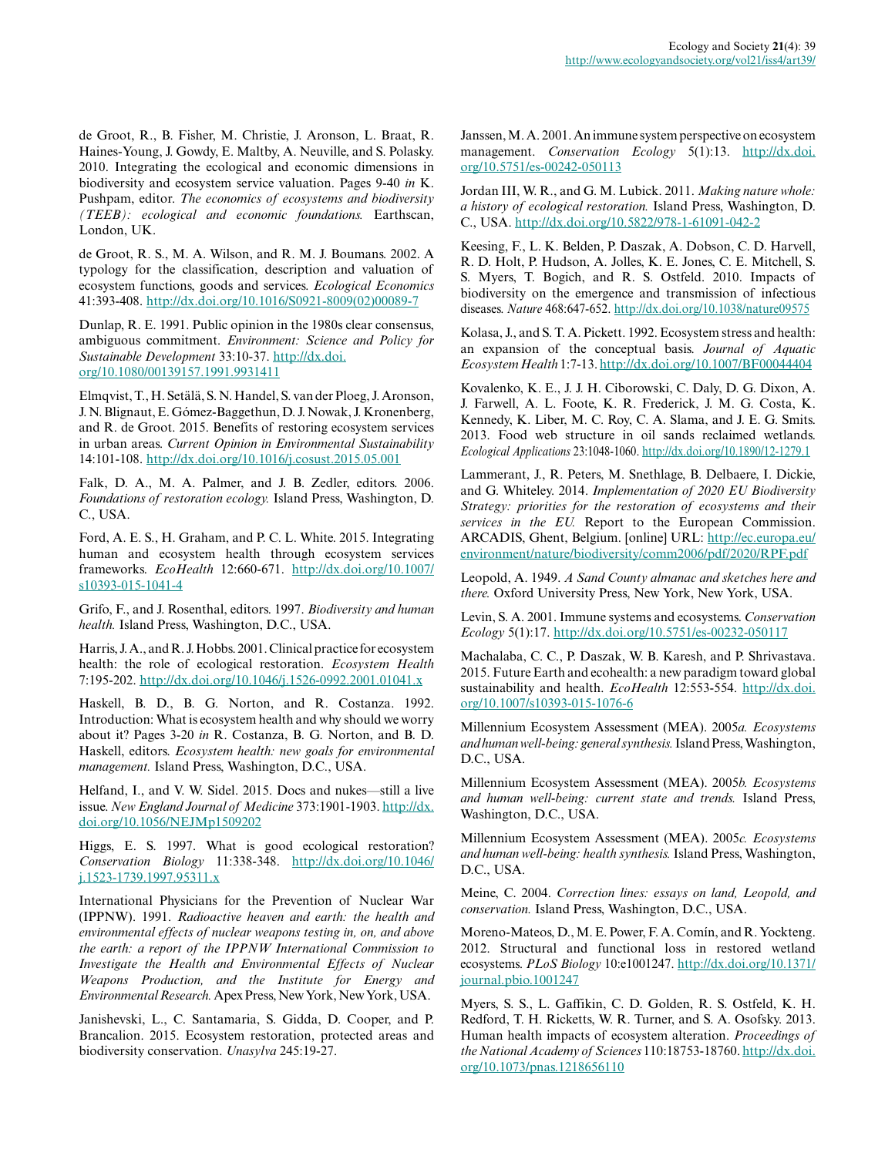de Groot, R., B. Fisher, M. Christie, J. Aronson, L. Braat, R. Haines-Young, J. Gowdy, E. Maltby, A. Neuville, and S. Polasky. 2010. Integrating the ecological and economic dimensions in biodiversity and ecosystem service valuation. Pages 9-40 *in* K. Pushpam, editor. *The economics of ecosystems and biodiversity (TEEB): ecological and economic foundations.* Earthscan, London, UK.

de Groot, R. S., M. A. Wilson, and R. M. J. Boumans. 2002. A typology for the classification, description and valuation of ecosystem functions, goods and services. *Ecological Economics* 41:393-408. [http://dx.doi.org/10.1016/S0921-8009\(02\)00089-7](http://dx.doi.org/10.1016%2FS0921-8009%2802%2900089-7)

Dunlap, R. E. 1991. Public opinion in the 1980s clear consensus, ambiguous commitment. *Environment: Science and Policy for Sustainable Development* 33:10-37. [http://dx.doi.](http://dx.doi.org/10.1080%2F00139157.1991.9931411) [org/10.1080/00139157.1991.9931411](http://dx.doi.org/10.1080%2F00139157.1991.9931411) 

Elmqvist, T., H. Setälä, S. N. Handel, S. van der Ploeg, J. Aronson, J. N. Blignaut, E. Gómez-Baggethun, D. J. Nowak, J. Kronenberg, and R. de Groot. 2015. Benefits of restoring ecosystem services in urban areas. *Current Opinion in Environmental Sustainability* 14:101-108. [http://dx.doi.org/10.1016/j.cosust.2015.05.001](http://dx.doi.org/10.1016%2Fj.cosust.2015.05.001) 

Falk, D. A., M. A. Palmer, and J. B. Zedler, editors. 2006. *Foundations of restoration ecology.* Island Press, Washington, D. C., USA.

Ford, A. E. S., H. Graham, and P. C. L. White. 2015. Integrating human and ecosystem health through ecosystem services frameworks. *EcoHealth* 12:660-671. [http://dx.doi.org/10.1007/](http://dx.doi.org/10.1007%2Fs10393-015-1041-4) [s10393-015-1041-4](http://dx.doi.org/10.1007%2Fs10393-015-1041-4) 

Grifo, F., and J. Rosenthal, editors. 1997. *Biodiversity and human health.* Island Press, Washington, D.C., USA.

Harris, J. A., and R. J. Hobbs. 2001. Clinical practice for ecosystem health: the role of ecological restoration. *Ecosystem Health* 7:195-202. [http://dx.doi.org/10.1046/j.1526-0992.2001.01041.x](http://dx.doi.org/10.1046%2Fj.1526-0992.2001.01041.x)

Haskell, B. D., B. G. Norton, and R. Costanza. 1992. Introduction: What is ecosystem health and why should we worry about it? Pages 3-20 *in* R. Costanza, B. G. Norton, and B. D. Haskell, editors. *Ecosystem health: new goals for environmental management.* Island Press, Washington, D.C., USA.

Helfand, I., and V. W. Sidel. 2015. Docs and nukes—still a live issue. New England Journal of Medicine 373:1901-1903. [http://dx.](http://dx.doi.org/10.1056%2FNEJMp1509202) [doi.org/10.1056/NEJMp1509202](http://dx.doi.org/10.1056%2FNEJMp1509202) 

Higgs, E. S. 1997. What is good ecological restoration? *Conservation Biology* 11:338-348. [http://dx.doi.org/10.1046/](http://dx.doi.org/10.1046%2Fj.1523-1739.1997.95311.x) [j.1523-1739.1997.95311.x](http://dx.doi.org/10.1046%2Fj.1523-1739.1997.95311.x)

International Physicians for the Prevention of Nuclear War (IPPNW). 1991. *Radioactive heaven and earth: the health and environmental effects of nuclear weapons testing in, on, and above the earth: a report of the IPPNW International Commission to Investigate the Health and Environmental Effects of Nuclear Weapons Production, and the Institute for Energy and Environmental Research.* Apex Press, New York, New York, USA.

Janishevski, L., C. Santamaria, S. Gidda, D. Cooper, and P. Brancalion. 2015. Ecosystem restoration, protected areas and biodiversity conservation. *Unasylva* 245:19-27.

Janssen, M. A. 2001. An immune system perspective on ecosystem management. *Conservation Ecology* 5(1):13. [http://dx.doi.](http://dx.doi.org/10.5751%2Fes-00242-050113) [org/10.5751/es-00242-050113](http://dx.doi.org/10.5751%2Fes-00242-050113)

Jordan III, W. R., and G. M. Lubick. 2011. *Making nature whole: a history of ecological restoration.* Island Press, Washington, D. C., USA. [http://dx.doi.org/10.5822/978-1-61091-042-2](http://dx.doi.org/10.5822%2F978-1-61091-042-2)

Keesing, F., L. K. Belden, P. Daszak, A. Dobson, C. D. Harvell, R. D. Holt, P. Hudson, A. Jolles, K. E. Jones, C. E. Mitchell, S. S. Myers, T. Bogich, and R. S. Ostfeld. 2010. Impacts of biodiversity on the emergence and transmission of infectious diseases. *Nature* 468:647-652. [http://dx.doi.org/10.1038/nature09575](http://dx.doi.org/10.1038%2Fnature09575) 

Kolasa, J., and S. T. A. Pickett. 1992. Ecosystem stress and health: an expansion of the conceptual basis. *Journal of Aquatic Ecosystem Health* 1:7-13. [http://dx.doi.org/10.1007/BF00044404](http://dx.doi.org/10.1007%2FBF00044404) 

Kovalenko, K. E., J. J. H. Ciborowski, C. Daly, D. G. Dixon, A. J. Farwell, A. L. Foote, K. R. Frederick, J. M. G. Costa, K. Kennedy, K. Liber, M. C. Roy, C. A. Slama, and J. E. G. Smits. 2013. Food web structure in oil sands reclaimed wetlands. *Ecological Applications* 23:1048-1060. [http://dx.doi.org/10.1890/12-1279.1](http://dx.doi.org/10.1890%2F12-1279.1)

Lammerant, J., R. Peters, M. Snethlage, B. Delbaere, I. Dickie, and G. Whiteley. 2014. *Implementation of 2020 EU Biodiversity Strategy: priorities for the restoration of ecosystems and their services in the EU.* Report to the European Commission. ARCADIS, Ghent, Belgium. [online] URL: [http://ec.europa.eu/](http://ec.europa.eu/environment/nature/biodiversity/comm2006/pdf/2020/RPF.pdf) [environment/nature/biodiversity/comm2006/pdf/2020/RPF.pdf](http://ec.europa.eu/environment/nature/biodiversity/comm2006/pdf/2020/RPF.pdf)

Leopold, A. 1949. *A Sand County almanac and sketches here and there.* Oxford University Press, New York, New York, USA.

Levin, S. A. 2001. Immune systems and ecosystems. *Conservation Ecology* 5(1):17. [http://dx.doi.org/10.5751/es-00232-050117](http://dx.doi.org/10.5751%2Fes-00232-050117) 

Machalaba, C. C., P. Daszak, W. B. Karesh, and P. Shrivastava. 2015. Future Earth and ecohealth: a new paradigm toward global sustainability and health. *EcoHealth* 12:553-554. [http://dx.doi.](http://dx.doi.org/10.1007%2Fs10393-015-1076-6) [org/10.1007/s10393-015-1076-6](http://dx.doi.org/10.1007%2Fs10393-015-1076-6)

Millennium Ecosystem Assessment (MEA). 2005*a. Ecosystems and human well-being: general synthesis.* Island Press, Washington, D.C., USA.

Millennium Ecosystem Assessment (MEA). 2005*b. Ecosystems and human well-being: current state and trends.* Island Press, Washington, D.C., USA.

Millennium Ecosystem Assessment (MEA). 2005*c. Ecosystems and human well-being: health synthesis.* Island Press, Washington, D.C., USA.

Meine, C. 2004. *Correction lines: essays on land, Leopold, and conservation.* Island Press, Washington, D.C., USA.

Moreno-Mateos, D., M. E. Power, F. A. Comín, and R. Yockteng. 2012. Structural and functional loss in restored wetland ecosystems. *PLoS Biology* 10:e1001247. [http://dx.doi.org/10.1371/](http://dx.doi.org/10.1371%2Fjournal.pbio.1001247) [journal.pbio.1001247](http://dx.doi.org/10.1371%2Fjournal.pbio.1001247)

Myers, S. S., L. Gaffikin, C. D. Golden, R. S. Ostfeld, K. H. Redford, T. H. Ricketts, W. R. Turner, and S. A. Osofsky. 2013. Human health impacts of ecosystem alteration. *Proceedings of the National Academy of Sciences* 110:18753-18760. [http://dx.doi.](http://dx.doi.org/10.1073%2Fpnas.1218656110) [org/10.1073/pnas.1218656110](http://dx.doi.org/10.1073%2Fpnas.1218656110)